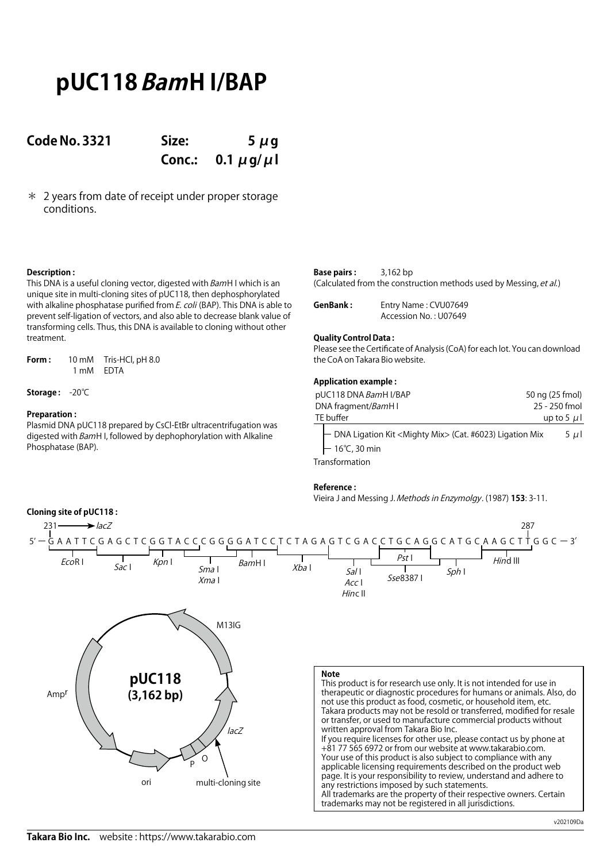# **pUC118 BamH I/BAP**

### **Code No. 3321 Size: 5 μg**

**Conc.: 0.1 μg/μl**

\* 2 years from date of receipt under proper storage conditions.

### **Description :**

This DNA is a useful cloning vector, digested with BamH I which is an unique site in multi-cloning sites of pUC118, then dephosphorylated with alkaline phosphatase purified from E. coli (BAP). This DNA is able to prevent self-ligation of vectors, and also able to decrease blank value of transforming cells. Thus, this DNA is available to cloning without other treatment.

**Form :** 10 mM Tris-HCl, pH 8.0 1 mM EDTA

**Storage :** -20℃

### **Preparation :**

Plasmid DNA pUC118 prepared by CsCl-EtBr ultracentrifugation was digested with BamH I, followed by dephophorylation with Alkaline Phosphatase (BAP).

| <b>Base pairs:</b> | $3,162$ bp                                                         |
|--------------------|--------------------------------------------------------------------|
|                    | (Calculated from the construction methods used by Messing, et al.) |

| GenBank: | Entry Name: CVU07649  |
|----------|-----------------------|
|          | Accession No.: U07649 |

### **Quality Control Data :**

Please see the Certificate of Analysis (CoA) for each lot. You can download the CoA on Takara Bio website.

### **Application example :**

| pUC118 DNA BamH I/BAP                                                                                      | 50 ng (25 fmol) |
|------------------------------------------------------------------------------------------------------------|-----------------|
| DNA fragment/BamH I                                                                                        | 25 - 250 fmol   |
| TE buffer                                                                                                  | up to 5 $\mu$ l |
| ├ DNA Ligation Kit <mighty mix=""> (Cat. #6023) Ligation Mix<br/><math>\vdash</math> 16°C, 30 min</mighty> | $5 \mu$         |
|                                                                                                            |                 |

Transformation

### **Reference :**

Vieira J and Messing J. Methods in Enzymolgy. (1987) **153**: 3-11.